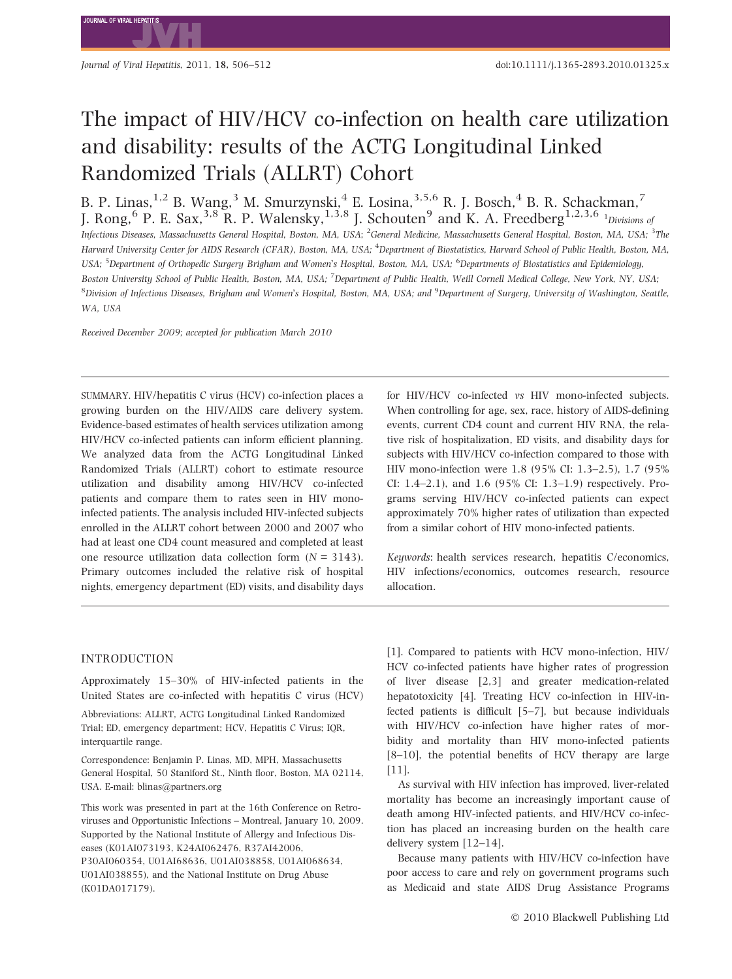**IOURNAL OF VIRAL HER** 

# The impact of HIV/HCV co-infection on health care utilization and disability: results of the ACTG Longitudinal Linked Randomized Trials (ALLRT) Cohort

B. P. Linas, $^{1,2}$  B. Wang, $^3$  M. Smurzynski, $^4$  E. Losina, $^{3,5,6}$  R. J. Bosch, $^4$  B. R. Schackman, $^7$ J. Rong,  $^6$  P. E. Sax,  $^{3,8}$  R. P. Walensky,  $^{1,3,8}$  J. Schouten $^9$  and K. A. Freedberg  $^{1,2,3,6}$  <sup>1</sup> Divisions of Infectious Diseases, Massachusetts General Hospital, Boston, MA, USA; <sup>2</sup>General Medicine, Massachusetts General Hospital, Boston, MA, USA; <sup>3</sup>The Harvard University Center for AIDS Research (CFAR), Boston, MA, USA; <sup>4</sup>Department of Biostatistics, Harvard School of Public Health, Boston, MA, USA; <sup>5</sup>Department of Orthopedic Surgery Brigham and Women's Hospital, Boston, MA, USA; <sup>6</sup>Departments of Biostatistics and Epidemiology, Boston University School of Public Health, Boston, MA, USA; <sup>7</sup>Department of Public Health, Weill Cornell Medical College, New York, NY, USA; 8Division of Infectious Diseases, Brigham and Women's Hospital, Boston, MA, USA; and <sup>9</sup>Department of Surgery, University of Washington, Seattle, WA, USA

Received December 2009; accepted for publication March 2010

SUMMARY. HIV/hepatitis C virus (HCV) co-infection places a growing burden on the HIV/AIDS care delivery system. Evidence-based estimates of health services utilization among HIV/HCV co-infected patients can inform efficient planning. We analyzed data from the ACTG Longitudinal Linked Randomized Trials (ALLRT) cohort to estimate resource utilization and disability among HIV/HCV co-infected patients and compare them to rates seen in HIV monoinfected patients. The analysis included HIV-infected subjects enrolled in the ALLRT cohort between 2000 and 2007 who had at least one CD4 count measured and completed at least one resource utilization data collection form  $(N = 3143)$ . Primary outcomes included the relative risk of hospital nights, emergency department (ED) visits, and disability days for HIV/HCV co-infected vs HIV mono-infected subjects. When controlling for age, sex, race, history of AIDS-defining events, current CD4 count and current HIV RNA, the relative risk of hospitalization, ED visits, and disability days for subjects with HIV/HCV co-infection compared to those with HIV mono-infection were 1.8 (95% CI: 1.3–2.5), 1.7 (95% CI: 1.4–2.1), and 1.6 (95% CI: 1.3–1.9) respectively. Programs serving HIV/HCV co-infected patients can expect approximately 70% higher rates of utilization than expected from a similar cohort of HIV mono-infected patients.

Keywords: health services research, hepatitis C/economics, HIV infections/economics, outcomes research, resource allocation.

# INTRODUCTION

Approximately 15–30% of HIV-infected patients in the United States are co-infected with hepatitis C virus (HCV)

Abbreviations: ALLRT, ACTG Longitudinal Linked Randomized Trial; ED, emergency department; HCV, Hepatitis C Virus; IQR, interquartile range.

Correspondence: Benjamin P. Linas, MD, MPH, Massachusetts General Hospital, 50 Staniford St., Ninth floor, Boston, MA 02114, USA. E-mail: blinas@partners.org

This work was presented in part at the 16th Conference on Retroviruses and Opportunistic Infections – Montreal, January 10, 2009. Supported by the National Institute of Allergy and Infectious Diseases (K01AI073193, K24AI062476, R37AI42006, P30AI060354, U01AI68636, U01AI038858, U01AI068634, U01AI038855), and the National Institute on Drug Abuse (K01DA017179).

[1]. Compared to patients with HCV mono-infection, HIV/ HCV co-infected patients have higher rates of progression of liver disease [2,3] and greater medication-related hepatotoxicity [4]. Treating HCV co-infection in HIV-infected patients is difficult [5–7], but because individuals with HIV/HCV co-infection have higher rates of morbidity and mortality than HIV mono-infected patients [8–10], the potential benefits of HCV therapy are large [11].

As survival with HIV infection has improved, liver-related mortality has become an increasingly important cause of death among HIV-infected patients, and HIV/HCV co-infection has placed an increasing burden on the health care delivery system [12–14].

Because many patients with HIV/HCV co-infection have poor access to care and rely on government programs such as Medicaid and state AIDS Drug Assistance Programs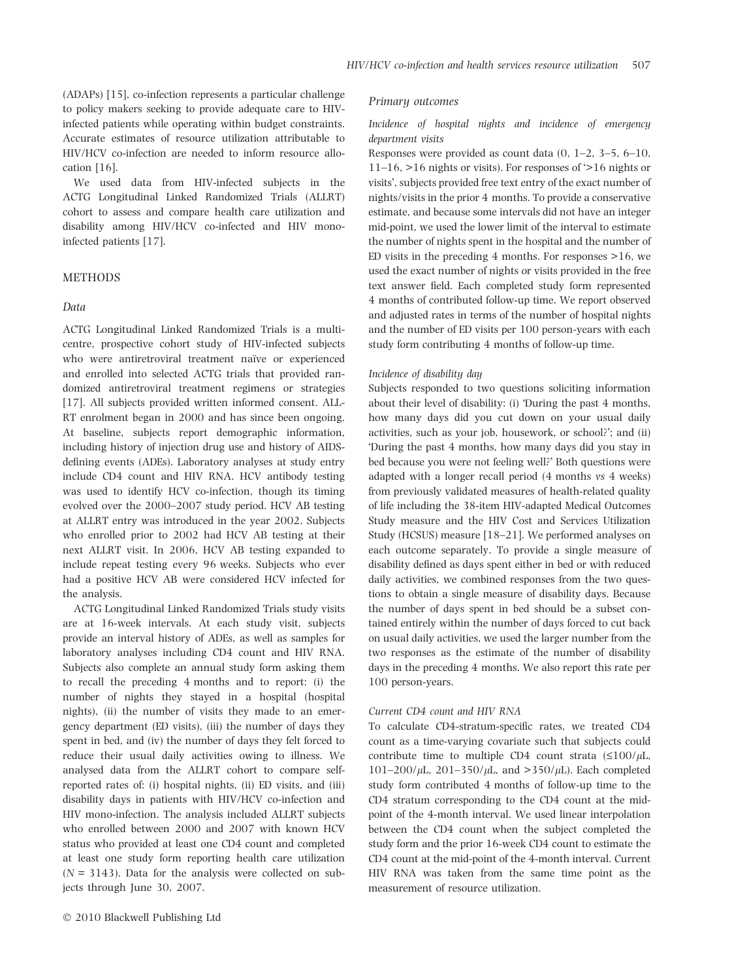(ADAPs) [15], co-infection represents a particular challenge to policy makers seeking to provide adequate care to HIVinfected patients while operating within budget constraints. Accurate estimates of resource utilization attributable to HIV/HCV co-infection are needed to inform resource allocation [16].

We used data from HIV-infected subjects in the ACTG Longitudinal Linked Randomized Trials (ALLRT) cohort to assess and compare health care utilization and disability among HIV/HCV co-infected and HIV monoinfected patients [17].

# **METHODS**

## Data

ACTG Longitudinal Linked Randomized Trials is a multicentre, prospective cohort study of HIV-infected subjects who were antiretroviral treatment naïve or experienced and enrolled into selected ACTG trials that provided randomized antiretroviral treatment regimens or strategies [17]. All subjects provided written informed consent. ALL-RT enrolment began in 2000 and has since been ongoing. At baseline, subjects report demographic information, including history of injection drug use and history of AIDSdefining events (ADEs). Laboratory analyses at study entry include CD4 count and HIV RNA. HCV antibody testing was used to identify HCV co-infection, though its timing evolved over the 2000–2007 study period. HCV AB testing at ALLRT entry was introduced in the year 2002. Subjects who enrolled prior to 2002 had HCV AB testing at their next ALLRT visit. In 2006, HCV AB testing expanded to include repeat testing every 96 weeks. Subjects who ever had a positive HCV AB were considered HCV infected for the analysis.

ACTG Longitudinal Linked Randomized Trials study visits are at 16-week intervals. At each study visit, subjects provide an interval history of ADEs, as well as samples for laboratory analyses including CD4 count and HIV RNA. Subjects also complete an annual study form asking them to recall the preceding 4 months and to report: (i) the number of nights they stayed in a hospital (hospital nights), (ii) the number of visits they made to an emergency department (ED visits), (iii) the number of days they spent in bed, and (iv) the number of days they felt forced to reduce their usual daily activities owing to illness. We analysed data from the ALLRT cohort to compare selfreported rates of: (i) hospital nights, (ii) ED visits, and (iii) disability days in patients with HIV/HCV co-infection and HIV mono-infection. The analysis included ALLRT subjects who enrolled between 2000 and 2007 with known HCV status who provided at least one CD4 count and completed at least one study form reporting health care utilization  $(N = 3143)$ . Data for the analysis were collected on subjects through June 30, 2007.

## Primary outcomes

## Incidence of hospital nights and incidence of emergency department visits

Responses were provided as count data  $(0, 1-2, 3-5, 6-10, 1)$  $11–16$ ,  $>16$  nights or visits). For responses of  $>16$  nights or visits', subjects provided free text entry of the exact number of nights/visits in the prior 4 months. To provide a conservative estimate, and because some intervals did not have an integer mid-point, we used the lower limit of the interval to estimate the number of nights spent in the hospital and the number of ED visits in the preceding  $4$  months. For responses  $>16$ , we used the exact number of nights or visits provided in the free text answer field. Each completed study form represented 4 months of contributed follow-up time. We report observed and adjusted rates in terms of the number of hospital nights and the number of ED visits per 100 person-years with each study form contributing 4 months of follow-up time.

#### Incidence of disability day

Subjects responded to two questions soliciting information about their level of disability: (i) During the past 4 months, how many days did you cut down on your usual daily activities, such as your job, housework, or school?'; and (ii) During the past 4 months, how many days did you stay in bed because you were not feeling well?' Both questions were adapted with a longer recall period (4 months vs 4 weeks) from previously validated measures of health-related quality of life including the 38-item HIV-adapted Medical Outcomes Study measure and the HIV Cost and Services Utilization Study (HCSUS) measure [18–21]. We performed analyses on each outcome separately. To provide a single measure of disability defined as days spent either in bed or with reduced daily activities, we combined responses from the two questions to obtain a single measure of disability days. Because the number of days spent in bed should be a subset contained entirely within the number of days forced to cut back on usual daily activities, we used the larger number from the two responses as the estimate of the number of disability days in the preceding 4 months. We also report this rate per 100 person-years.

### Current CD4 count and HIV RNA

To calculate CD4-stratum-specific rates, we treated CD4 count as a time-varying covariate such that subjects could contribute time to multiple CD4 count strata  $(\leq 100/\mu L,$  $101-200/\mu L$ ,  $201-350/\mu L$ , and  $>350/\mu L$ ). Each completed study form contributed 4 months of follow-up time to the CD4 stratum corresponding to the CD4 count at the midpoint of the 4-month interval. We used linear interpolation between the CD4 count when the subject completed the study form and the prior 16-week CD4 count to estimate the CD4 count at the mid-point of the 4-month interval. Current HIV RNA was taken from the same time point as the measurement of resource utilization.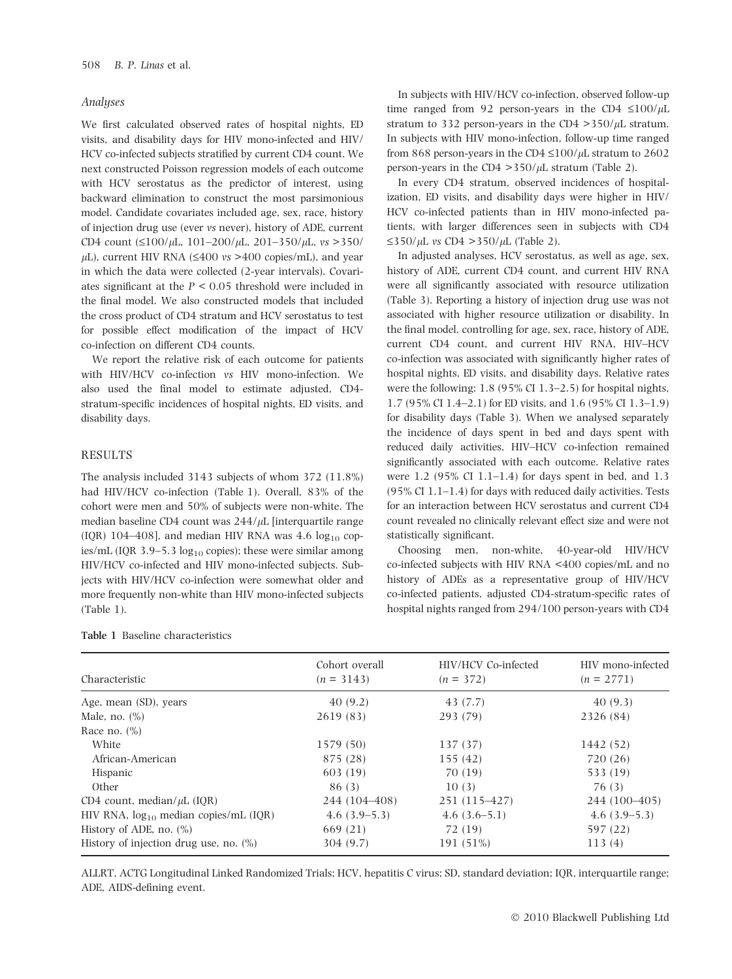## **Analuses**

We first calculated observed rates of hospital nights, ED visits, and disability days for HIV mono-infected and HIV/ HCV co-infected subjects stratified by current CD4 count. We next constructed Poisson regression models of each outcome with HCV serostatus as the predictor of interest, using backward elimination to construct the most parsimonious model. Candidate covariates included age, sex, race, history of injection drug use (ever vs never), history of ADE, current CD4 count  $(\leq 100/\mu L, 101-200/\mu L, 201-350/\mu L, \text{vs} > 350/\mu L)$  $\mu$ L), current HIV RNA ( $\leq$ 400 vs >400 copies/mL), and year in which the data were collected (2-year intervals). Covariates significant at the  $P < 0.05$  threshold were included in the final model. We also constructed models that included the cross product of CD4 stratum and HCV serostatus to test for possible effect modification of the impact of HCV co-infection on different CD4 counts.

We report the relative risk of each outcome for patients with HIV/HCV co-infection vs HIV mono-infection. We also used the final model to estimate adjusted, CD4 stratum-specific incidences of hospital nights, ED visits, and disability days.

## RESULTS

The analysis included 3143 subjects of whom 372 (11.8%) had HIV/HCV co-infection (Table 1). Overall, 83% of the cohort were men and 50% of subjects were non-white. The median baseline CD4 count was  $244/\mu$ L [interquartile range (IQR) 104–408], and median HIV RNA was 4.6  $log_{10}$  copies/mL (IQR 3.9–5.3  $log_{10}$  copies); these were similar among HIV/HCV co-infected and HIV mono-infected subjects. Subjects with HIV/HCV co-infection were somewhat older and more frequently non-white than HIV mono-infected subjects (Table 1).

| <b>Table 1</b> Baseline characteristics |
|-----------------------------------------|
|                                         |

In subjects with HIV/HCV co-infection, observed follow-up time ranged from 92 person-years in the CD4  $\leq 100/\mu L$ stratum to 332 person-years in the CD4  $>$ 350/ $\mu$ L stratum. In subjects with HIV mono-infection, follow-up time ranged from 868 person-years in the CD4  $\leq$ 100/ $\mu$ L stratum to 2602 person-years in the CD4  $>$ 350/ $\mu$ L stratum (Table 2).

In every CD4 stratum, observed incidences of hospitalization, ED visits, and disability days were higher in HIV/ HCV co-infected patients than in HIV mono-infected patients, with larger differences seen in subjects with CD4  $\leq$ 350/ $\mu$ L vs CD4 > 350/ $\mu$ L (Table 2).

In adjusted analyses, HCV serostatus, as well as age, sex, history of ADE, current CD4 count, and current HIV RNA were all significantly associated with resource utilization (Table 3). Reporting a history of injection drug use was not associated with higher resource utilization or disability. In the final model, controlling for age, sex, race, history of ADE, current CD4 count, and current HIV RNA, HIV–HCV co-infection was associated with significantly higher rates of hospital nights, ED visits, and disability days. Relative rates were the following: 1.8 (95% CI 1.3–2.5) for hospital nights, 1.7 (95% CI 1.4–2.1) for ED visits, and 1.6 (95% CI 1.3–1.9) for disability days (Table 3). When we analysed separately the incidence of days spent in bed and days spent with reduced daily activities, HIV–HCV co-infection remained significantly associated with each outcome. Relative rates were  $1.2$  (95% CI 1.1–1.4) for days spent in bed, and 1.3 (95% CI 1.1–1.4) for days with reduced daily activities. Tests for an interaction between HCV serostatus and current CD4 count revealed no clinically relevant effect size and were not statistically significant.

Choosing men, non-white, 40-year-old HIV/HCV co-infected subjects with HIV RNA <400 copies/mL and no history of ADEs as a representative group of HIV/HCV co-infected patients, adjusted CD4-stratum-specific rates of hospital nights ranged from 294/100 person-years with CD4

|                                            | Cohort overall | HIV/HCV Co-infected | HIV mono-infected |  |
|--------------------------------------------|----------------|---------------------|-------------------|--|
| Characteristic                             | $(n = 3143)$   | $(n = 372)$         | $(n = 2771)$      |  |
| Age, mean (SD), years                      | 40(9.2)        | 43 (7.7)            | 40(9.3)           |  |
| Male, no. $(\%)$                           | 2619 (83)      | 293 (79)            | 2326 (84)         |  |
| Race no. $(\%)$                            |                |                     |                   |  |
| White                                      | 1579 (50)      | 137 (37)            | 1442 (52)         |  |
| African-American                           | 875 (28)       | 155(42)             | 720 (26)          |  |
| Hispanic                                   | 603(19)        | 70 (19)             | 533 (19)          |  |
| Other                                      | 86(3)          | 10(3)               | 76 (3)            |  |
| CD4 count, median/ $\mu$ L (IQR)           | 244 (104–408)  | 251 (115–427)       | 244 (100-405)     |  |
| HIV RNA, $log_{10}$ median copies/mL (IQR) | $4.6(3.9-5.3)$ | $4.6(3.6-5.1)$      | $4.6(3.9-5.3)$    |  |
| History of ADE, no. $(\%)$                 | 669 (21)       | 72 (19)             | 597 (22)          |  |
| History of injection drug use, no. $(\%)$  | 304(9.7)       | 191 (51%)           | 113(4)            |  |

ALLRT, ACTG Longitudinal Linked Randomized Trials; HCV, hepatitis C virus; SD, standard deviation; IQR, interquartile range; ADE, AIDS-defining event.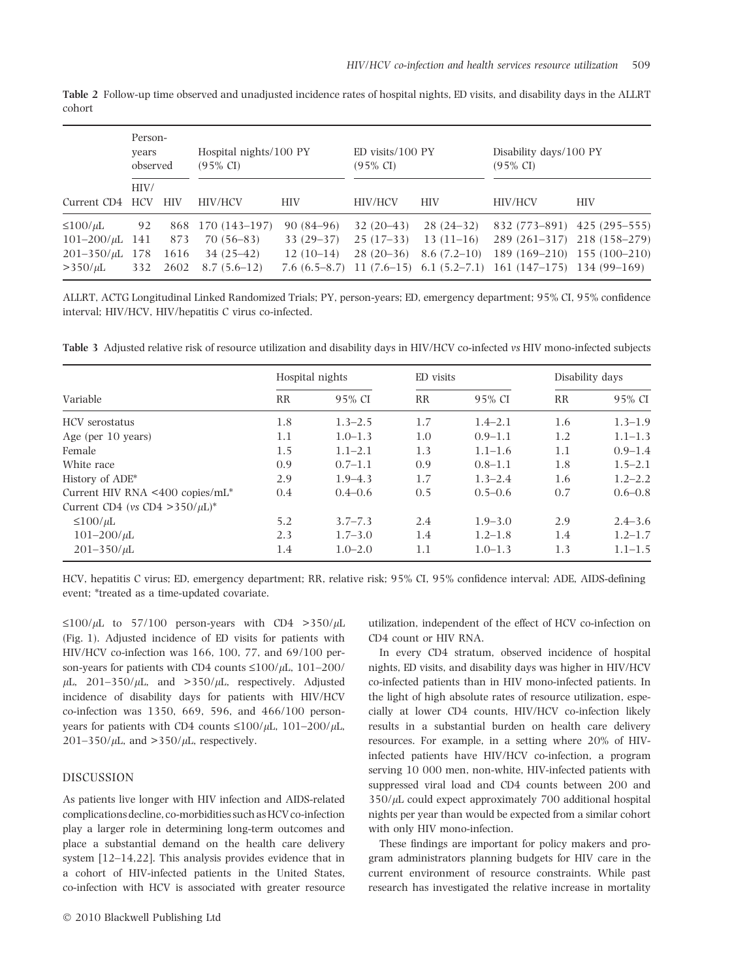Table 2 Follow-up time observed and unadjusted incidence rates of hospital nights, ED visits, and disability days in the ALLRT cohort

|                                                                                    | Person-<br>years<br>observed |                     | Hospital nights/100 PY<br>$(95\% \text{ CI})$                    |                                           | $ED$ visits/100 $PY$<br>$(95\% \text{ CI})$ |                                             | Disability days/100 PY<br>$(95\% \text{ CI})$                                                                                                                             |            |
|------------------------------------------------------------------------------------|------------------------------|---------------------|------------------------------------------------------------------|-------------------------------------------|---------------------------------------------|---------------------------------------------|---------------------------------------------------------------------------------------------------------------------------------------------------------------------------|------------|
| Current CD4                                                                        | HIV/<br><b>HCV</b>           | <b>HIV</b>          | <b>HIV/HCV</b>                                                   | <b>HIV</b>                                | <b>HIV/HCV</b>                              | <b>HIV</b>                                  | <b>HIV/HCV</b>                                                                                                                                                            | <b>HIV</b> |
| $\leq 100/\mu L$<br>$101 - 200/\mu L$ 141<br>$201 - 350/\mu L$ 178<br>$>350/\mu L$ | 92<br>332                    | 873<br>1616<br>2602 | 868 170 (143-197)<br>$70(56-83)$<br>$34(25-42)$<br>$8.7(5.6-12)$ | $90(84-96)$<br>$33(29-37)$<br>$12(10-14)$ | $32(20-43)$<br>$25(17-33)$<br>$28(20-36)$   | $28(24-32)$<br>$13(11-16)$<br>$8.6(7.2-10)$ | 832 (773–891) 425 (295–555)<br>289 (261-317) 218 (158-279)<br>189 (169-210) 155 (100-210)<br>7.6 $(6.5-8.7)$ 11 $(7.6-15)$ 6.1 $(5.2-7.1)$ 161 $(147-175)$ 134 $(99-169)$ |            |

ALLRT, ACTG Longitudinal Linked Randomized Trials; PY, person-years; ED, emergency department; 95% CI, 95% confidence interval; HIV/HCV, HIV/hepatitis C virus co-infected.

Table 3 Adjusted relative risk of resource utilization and disability days in HIV/HCV co-infected vs HIV mono-infected subjects

|                                      |           | Hospital nights |           | ED visits   |           | Disability days |  |
|--------------------------------------|-----------|-----------------|-----------|-------------|-----------|-----------------|--|
| Variable                             | <b>RR</b> | 95% CI          | <b>RR</b> | 95% CI      | <b>RR</b> | 95% CI          |  |
| <b>HCV</b> serostatus                | 1.8       | $1.3 - 2.5$     | 1.7       | $1.4 - 2.1$ | 1.6       | $1.3 - 1.9$     |  |
| Age (per 10 years)                   | 1.1       | $1.0 - 1.3$     | 1.0       | $0.9 - 1.1$ | 1.2       | $1.1 - 1.3$     |  |
| Female                               | 1.5       | $1.1 - 2.1$     | 1.3       | $1.1 - 1.6$ | 1.1       | $0.9 - 1.4$     |  |
| White race                           | 0.9       | $0.7 - 1.1$     | 0.9       | $0.8 - 1.1$ | 1.8       | $1.5 - 2.1$     |  |
| History of ADE*                      | 2.9       | $1.9 - 4.3$     | 1.7       | $1.3 - 2.4$ | 1.6       | $1.2 - 2.2$     |  |
| Current HIV RNA <400 copies/mL*      | 0.4       | $0.4 - 0.6$     | 0.5       | $0.5 - 0.6$ | 0.7       | $0.6 - 0.8$     |  |
| Current CD4 (vs CD4 > 350/ $\mu$ L)* |           |                 |           |             |           |                 |  |
| $\leq 100/\mu L$                     | 5.2       | $3.7 - 7.3$     | 2.4       | $1.9 - 3.0$ | 2.9       | $2.4 - 3.6$     |  |
| $101 - 200/\mu L$                    | 2.3       | $1.7 - 3.0$     | 1.4       | $1.2 - 1.8$ | 1.4       | $1.2 - 1.7$     |  |
| $201 - 350/\mu L$                    | 1.4       | $1.0 - 2.0$     | 1.1       | $1.0 - 1.3$ | 1.3       | $1.1 - 1.5$     |  |

HCV, hepatitis C virus; ED, emergency department; RR, relative risk; 95% CI, 95% confidence interval; ADE, AIDS-defining event; \*treated as a time-updated covariate.

 $\leq 100/\mu L$  to 57/100 person-years with CD4 >350/ $\mu L$ (Fig. 1). Adjusted incidence of ED visits for patients with HIV/HCV co-infection was 166, 100, 77, and 69/100 person-years for patients with CD4 counts  $\leq 100/\mu L$ , 101–200/  $\mu$ L, 201–350/ $\mu$ L, and >350/ $\mu$ L, respectively. Adjusted incidence of disability days for patients with HIV/HCV co-infection was 1350, 669, 596, and 466/100 personyears for patients with CD4 counts  $\leq 100/\mu L$ ,  $101-200/\mu L$ ,  $201-350/\mu L$ , and  $>350/\mu L$ , respectively.

## DISCUSSION

As patients live longer with HIV infection and AIDS-related complications decline, co-morbidities such as HCV co-infection play a larger role in determining long-term outcomes and place a substantial demand on the health care delivery system [12–14,22]. This analysis provides evidence that in a cohort of HIV-infected patients in the United States, co-infection with HCV is associated with greater resource utilization, independent of the effect of HCV co-infection on CD4 count or HIV RNA.

In every CD4 stratum, observed incidence of hospital nights, ED visits, and disability days was higher in HIV/HCV co-infected patients than in HIV mono-infected patients. In the light of high absolute rates of resource utilization, especially at lower CD4 counts, HIV/HCV co-infection likely results in a substantial burden on health care delivery resources. For example, in a setting where 20% of HIVinfected patients have HIV/HCV co-infection, a program serving 10 000 men, non-white, HIV-infected patients with suppressed viral load and CD4 counts between 200 and  $350/\mu$ L could expect approximately 700 additional hospital nights per year than would be expected from a similar cohort with only HIV mono-infection.

These findings are important for policy makers and program administrators planning budgets for HIV care in the current environment of resource constraints. While past research has investigated the relative increase in mortality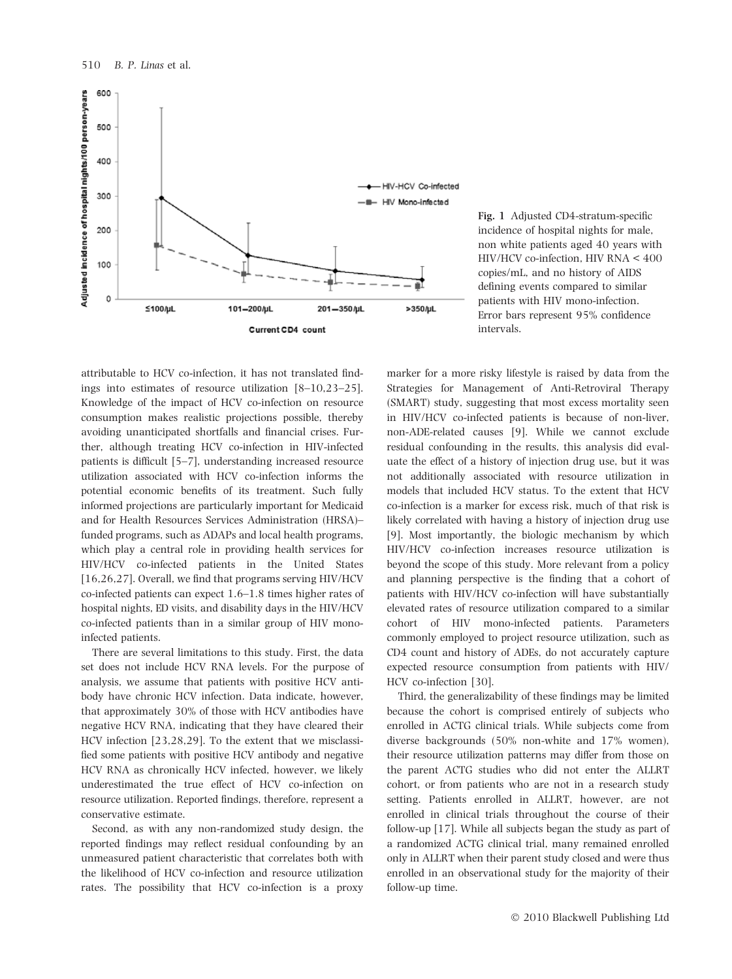

Fig. 1 Adjusted CD4-stratum-specific incidence of hospital nights for male, non white patients aged 40 years with HIV/HCV co-infection, HIV RNA < 400 copies/mL, and no history of AIDS defining events compared to similar patients with HIV mono-infection. Error bars represent 95% confidence intervals.

attributable to HCV co-infection, it has not translated findings into estimates of resource utilization [8–10,23–25]. Knowledge of the impact of HCV co-infection on resource consumption makes realistic projections possible, thereby avoiding unanticipated shortfalls and financial crises. Further, although treating HCV co-infection in HIV-infected patients is difficult [5–7], understanding increased resource utilization associated with HCV co-infection informs the potential economic benefits of its treatment. Such fully informed projections are particularly important for Medicaid and for Health Resources Services Administration (HRSA)– funded programs, such as ADAPs and local health programs, which play a central role in providing health services for HIV/HCV co-infected patients in the United States [16,26,27]. Overall, we find that programs serving HIV/HCV co-infected patients can expect 1.6–1.8 times higher rates of hospital nights, ED visits, and disability days in the HIV/HCV co-infected patients than in a similar group of HIV monoinfected patients.

There are several limitations to this study. First, the data set does not include HCV RNA levels. For the purpose of analysis, we assume that patients with positive HCV antibody have chronic HCV infection. Data indicate, however, that approximately 30% of those with HCV antibodies have negative HCV RNA, indicating that they have cleared their HCV infection [23,28,29]. To the extent that we misclassified some patients with positive HCV antibody and negative HCV RNA as chronically HCV infected, however, we likely underestimated the true effect of HCV co-infection on resource utilization. Reported findings, therefore, represent a conservative estimate.

Second, as with any non-randomized study design, the reported findings may reflect residual confounding by an unmeasured patient characteristic that correlates both with the likelihood of HCV co-infection and resource utilization rates. The possibility that HCV co-infection is a proxy marker for a more risky lifestyle is raised by data from the Strategies for Management of Anti-Retroviral Therapy (SMART) study, suggesting that most excess mortality seen in HIV/HCV co-infected patients is because of non-liver, non-ADE-related causes [9]. While we cannot exclude residual confounding in the results, this analysis did evaluate the effect of a history of injection drug use, but it was not additionally associated with resource utilization in models that included HCV status. To the extent that HCV co-infection is a marker for excess risk, much of that risk is likely correlated with having a history of injection drug use [9]. Most importantly, the biologic mechanism by which HIV/HCV co-infection increases resource utilization is beyond the scope of this study. More relevant from a policy and planning perspective is the finding that a cohort of patients with HIV/HCV co-infection will have substantially elevated rates of resource utilization compared to a similar cohort of HIV mono-infected patients. Parameters commonly employed to project resource utilization, such as CD4 count and history of ADEs, do not accurately capture expected resource consumption from patients with HIV/ HCV co-infection [30].

Third, the generalizability of these findings may be limited because the cohort is comprised entirely of subjects who enrolled in ACTG clinical trials. While subjects come from diverse backgrounds (50% non-white and 17% women), their resource utilization patterns may differ from those on the parent ACTG studies who did not enter the ALLRT cohort, or from patients who are not in a research study setting. Patients enrolled in ALLRT, however, are not enrolled in clinical trials throughout the course of their follow-up [17]. While all subjects began the study as part of a randomized ACTG clinical trial, many remained enrolled only in ALLRT when their parent study closed and were thus enrolled in an observational study for the majority of their follow-up time.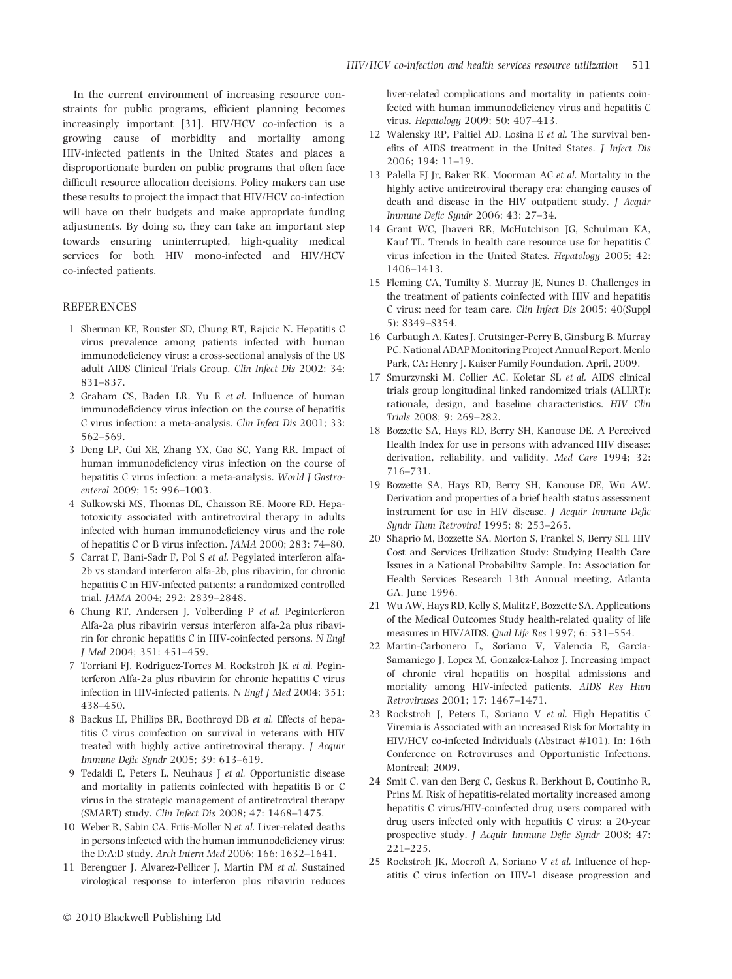In the current environment of increasing resource constraints for public programs, efficient planning becomes increasingly important [31]. HIV/HCV co-infection is a growing cause of morbidity and mortality among HIV-infected patients in the United States and places a disproportionate burden on public programs that often face difficult resource allocation decisions. Policy makers can use these results to project the impact that HIV/HCV co-infection will have on their budgets and make appropriate funding adjustments. By doing so, they can take an important step towards ensuring uninterrupted, high-quality medical services for both HIV mono-infected and HIV/HCV co-infected patients.

# **REFERENCES**

- 1 Sherman KE, Rouster SD, Chung RT, Rajicic N. Hepatitis C virus prevalence among patients infected with human immunodeficiency virus: a cross-sectional analysis of the US adult AIDS Clinical Trials Group. Clin Infect Dis 2002; 34: 831–837.
- 2 Graham CS, Baden LR, Yu E et al. Influence of human immunodeficiency virus infection on the course of hepatitis C virus infection: a meta-analysis. Clin Infect Dis 2001; 33: 562–569.
- 3 Deng LP, Gui XE, Zhang YX, Gao SC, Yang RR. Impact of human immunodeficiency virus infection on the course of hepatitis C virus infection: a meta-analysis. World J Gastroenterol 2009; 15: 996–1003.
- 4 Sulkowski MS, Thomas DL, Chaisson RE, Moore RD. Hepatotoxicity associated with antiretroviral therapy in adults infected with human immunodeficiency virus and the role of hepatitis C or B virus infection. JAMA 2000; 283: 74–80.
- 5 Carrat F, Bani-Sadr F, Pol S et al. Pegylated interferon alfa-2b vs standard interferon alfa-2b, plus ribavirin, for chronic hepatitis C in HIV-infected patients: a randomized controlled trial. JAMA 2004; 292: 2839–2848.
- 6 Chung RT, Andersen J, Volberding P et al. Peginterferon Alfa-2a plus ribavirin versus interferon alfa-2a plus ribavirin for chronic hepatitis C in HIV-coinfected persons. N Engl J Med 2004; 351: 451–459.
- 7 Torriani FJ, Rodriguez-Torres M, Rockstroh JK et al. Peginterferon Alfa-2a plus ribavirin for chronic hepatitis C virus infection in HIV-infected patients. N Engl J Med 2004; 351: 438–450.
- 8 Backus LI, Phillips BR, Boothroyd DB et al. Effects of hepatitis C virus coinfection on survival in veterans with HIV treated with highly active antiretroviral therapy. J Acquir Immune Defic Syndr 2005; 39: 613–619.
- 9 Tedaldi E, Peters L, Neuhaus J et al. Opportunistic disease and mortality in patients coinfected with hepatitis B or C virus in the strategic management of antiretroviral therapy (SMART) study. Clin Infect Dis 2008; 47: 1468–1475.
- 10 Weber R, Sabin CA, Friis-Moller N et al. Liver-related deaths in persons infected with the human immunodeficiency virus: the D:A:D study. Arch Intern Med 2006; 166: 1632–1641.
- 11 Berenguer J, Alvarez-Pellicer J, Martin PM et al. Sustained virological response to interferon plus ribavirin reduces

liver-related complications and mortality in patients coinfected with human immunodeficiency virus and hepatitis C virus. Hepatology 2009; 50: 407–413.

- 12 Walensky RP, Paltiel AD, Losina E et al. The survival benefits of AIDS treatment in the United States. J Infect Dis 2006; 194: 11–19.
- 13 Palella FJ Jr, Baker RK, Moorman AC et al. Mortality in the highly active antiretroviral therapy era: changing causes of death and disease in the HIV outpatient study. J Acquir Immune Defic Syndr 2006; 43: 27–34.
- 14 Grant WC, Jhaveri RR, McHutchison JG, Schulman KA, Kauf TL. Trends in health care resource use for hepatitis C virus infection in the United States. Hepatology 2005; 42: 1406–1413.
- 15 Fleming CA, Tumilty S, Murray JE, Nunes D. Challenges in the treatment of patients coinfected with HIV and hepatitis C virus: need for team care. Clin Infect Dis 2005; 40(Suppl 5): S349–S354.
- 16 Carbaugh A, Kates J, Crutsinger-Perry B, Ginsburg B, Murray PC. National ADAP Monitoring Project Annual Report. Menlo Park, CA: Henry J. Kaiser Family Foundation, April, 2009.
- 17 Smurzynski M, Collier AC, Koletar SL et al. AIDS clinical trials group longitudinal linked randomized trials (ALLRT): rationale, design, and baseline characteristics. HIV Clin Trials 2008; 9: 269–282.
- 18 Bozzette SA, Hays RD, Berry SH, Kanouse DE. A Perceived Health Index for use in persons with advanced HIV disease: derivation, reliability, and validity. Med Care 1994; 32: 716–731.
- 19 Bozzette SA, Hays RD, Berry SH, Kanouse DE, Wu AW. Derivation and properties of a brief health status assessment instrument for use in HIV disease. J Acquir Immune Defic Syndr Hum Retrovirol 1995; 8: 253–265.
- 20 Shaprio M, Bozzette SA, Morton S, Frankel S, Berry SH. HIV Cost and Services Urilization Study: Studying Health Care Issues in a National Probability Sample. In: Association for Health Services Research 13th Annual meeting, Atlanta GA, June 1996.
- 21 Wu AW, Hays RD, Kelly S, Malitz F, Bozzette SA. Applications of the Medical Outcomes Study health-related quality of life measures in HIV/AIDS. Qual Life Res 1997; 6: 531–554.
- 22 Martin-Carbonero L, Soriano V, Valencia E, Garcia-Samaniego J, Lopez M, Gonzalez-Lahoz J. Increasing impact of chronic viral hepatitis on hospital admissions and mortality among HIV-infected patients. AIDS Res Hum Retroviruses 2001; 17: 1467–1471.
- 23 Rockstroh J, Peters L, Soriano V et al. High Hepatitis C Viremia is Associated with an increased Risk for Mortality in HIV/HCV co-infected Individuals (Abstract #101). In: 16th Conference on Retroviruses and Opportunistic Infections. Montreal; 2009.
- 24 Smit C, van den Berg C, Geskus R, Berkhout B, Coutinho R, Prins M. Risk of hepatitis-related mortality increased among hepatitis C virus/HIV-coinfected drug users compared with drug users infected only with hepatitis C virus: a 20-year prospective study. J Acquir Immune Defic Syndr 2008; 47: 221–225.
- 25 Rockstroh JK, Mocroft A, Soriano V et al. Influence of hepatitis C virus infection on HIV-1 disease progression and